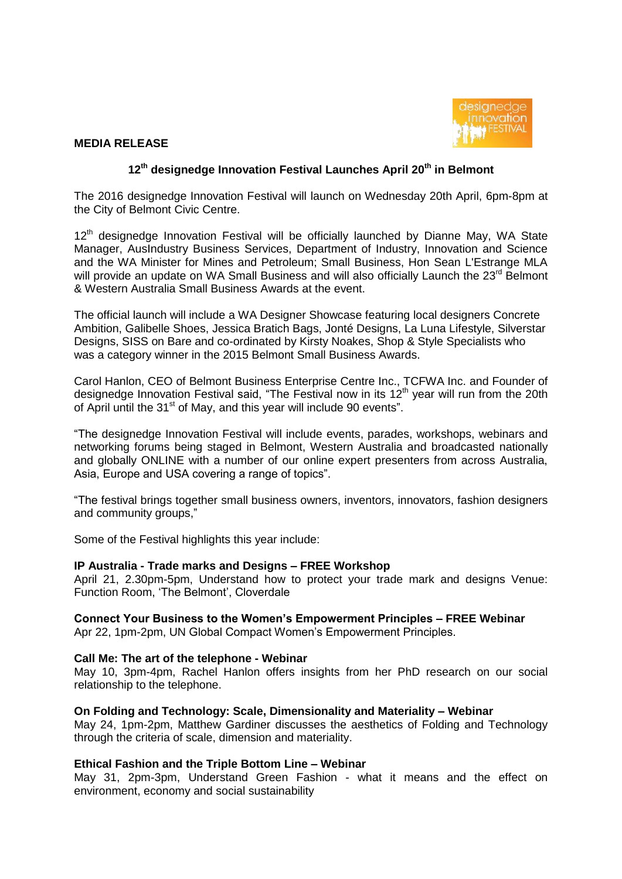

### **MEDIA RELEASE**

# **12th designedge Innovation Festival Launches April 20th in Belmont**

The 2016 designedge Innovation Festival will launch on Wednesday 20th April, 6pm-8pm at the City of Belmont Civic Centre.

12<sup>th</sup> designedge Innovation Festival will be officially launched by Dianne May, WA State Manager, AusIndustry Business Services, Department of Industry, Innovation and Science and the WA Minister for Mines and Petroleum; Small Business, Hon Sean L'Estrange MLA will provide an update on WA Small Business and will also officially Launch the 23<sup>rd</sup> Belmont & Western Australia Small Business Awards at the event.

The official launch will include a WA Designer Showcase featuring local designers Concrete Ambition, Galibelle Shoes, Jessica Bratich Bags, Jonté Designs, La Luna Lifestyle, Silverstar Designs, SISS on Bare and co-ordinated by Kirsty Noakes, Shop & Style Specialists who was a category winner in the 2015 Belmont Small Business Awards.

Carol Hanlon, CEO of Belmont Business Enterprise Centre Inc., TCFWA Inc. and Founder of designedge Innovation Festival said, "The Festival now in its  $12<sup>th</sup>$  year will run from the 20th of April until the 31<sup>st</sup> of May, and this year will include 90 events".

"The designedge Innovation Festival will include events, parades, workshops, webinars and networking forums being staged in Belmont, Western Australia and broadcasted nationally and globally ONLINE with a number of our online expert presenters from across Australia, Asia, Europe and USA covering a range of topics".

"The festival brings together small business owners, inventors, innovators, fashion designers and community groups,"

Some of the Festival highlights this year include:

#### **IP Australia - Trade marks and Designs – FREE Workshop**

April 21, 2.30pm-5pm, Understand how to protect your trade mark and designs Venue: Function Room, 'The Belmont', Cloverdale

#### **Connect Your Business to the Women's Empowerment Principles – FREE Webinar** Apr 22, 1pm-2pm, UN Global Compact Women's Empowerment Principles.

#### **Call Me: The art of the telephone - Webinar**

May 10, 3pm-4pm, Rachel Hanlon offers insights from her PhD research on our social relationship to the telephone.

#### **On Folding and Technology: Scale, Dimensionality and Materiality – Webinar**

May 24, 1pm-2pm, Matthew Gardiner discusses the aesthetics of Folding and Technology through the criteria of scale, dimension and materiality.

#### **Ethical Fashion and the Triple Bottom Line – Webinar**

May 31, 2pm-3pm, Understand Green Fashion - what it means and the effect on environment, economy and social sustainability